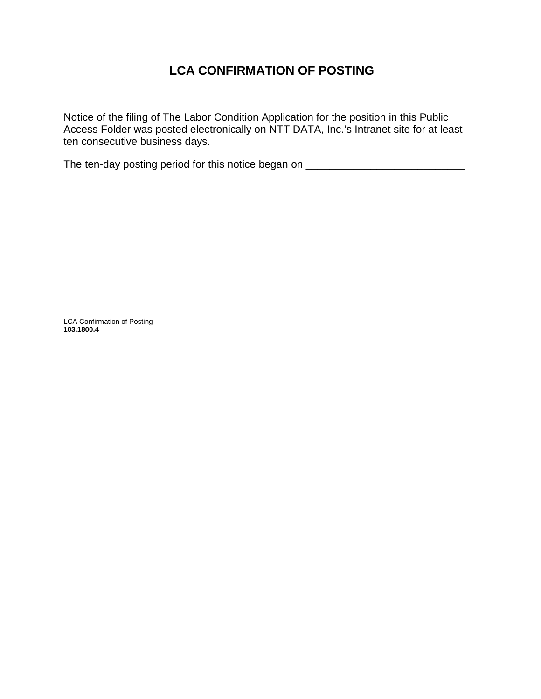## **LCA CONFIRMATION OF POSTING**

Notice of the filing of The Labor Condition Application for the position in this Public Access Folder was posted electronically on NTT DATA, Inc.'s Intranet site for at least ten consecutive business days.

The ten-day posting period for this notice began on \_\_\_\_\_\_\_\_\_\_\_\_\_\_\_\_\_\_\_\_\_\_\_\_\_\_\_\_

LCA Confirmation of Posting **103.1800.4**